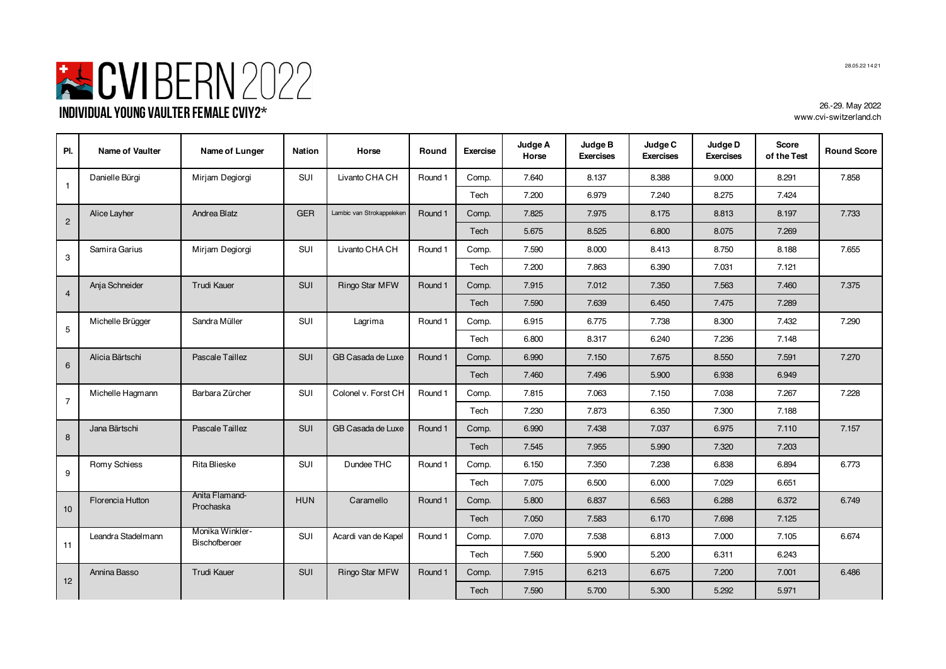

**Pl. Name of Vaulter Name of Lunger Nation Horse Round Exercise Judge A Horse Exercises Exercises Exercises of the Test Round Score** Danielle Bürgi | Mirjam Degiorgi | SUI | Livanto CHA CH | Round 1 | Comp. | 7.640 | 8.137 | 8.388 | 8.291 | 7.858 Tech 7.200 6.979 7.240 8.275 7.424 Alice Layher Andrea Blatz GER Lambic van Strokappeleken Round 1 Comp. 7.825 7.975 8.175 8.813 8.197 7.733 Tech | 5.675 | 8.525 | 6.800 | 8.075 | 7.269 Samira Garius Mirjam Degiorgi SUI Livanto CHA CH Round 1 Comp. 7.590 8.000 8.413 8.750 8.188 7.655 Tech | 7.200 | 7.863 | 6.390 | 7.031 | 7.121 Anja Schneider | Trudi Kauer | SUI | Ringo Star MFW | Round 1 | Comp. | 7.012 | 7.350 | 7.563 | 7.460 | 7.375 Tech | 7.590 | 7.639 | 6.450 | 7.475 | 7.289 Michelle Brügger | Sandra Müller | SUI | Lagrima | Round 1 Comp. | 6.915 | 6.775 | 7.738 | 8.300 | 7.432 | 7.290 Tech | 6.800 | 8.317 | 6.240 | 7.236 | 7.148 Alicia Bärtschi Pascale Taillez SUI GB Casada de Luxe Round 1 Comp. 6.990 7.150 7.675 8.550 7.591 7.270 Tech | 7.460 | 7.496 | 5.900 | 6.938 | 6.949 Michelle Hagmann | Barbara Zürcher | SUI | Colonel v. Forst CH | Round 1 | Comp. | 7.815 | 7.063 | 7.150 | 7.038 | 7.267 | 7.228 Tech 7.230 7.873 6.350 7.300 7.188 Jana Bärtschi | Pascale Taillez | SUI | GB Casada de Luxe | Round 1 | Comp. | 6.990 | 7.438 | 7.037 | 6.975 | 7.110 | 7.157 Tech | 7.545 | 7.955 | 5.990 | 7.320 | 7.203 Romy Schiess | Rita Blieske | SUI | Dundee THC | Round 1 | Comp. | 6.150 | 7.350 | 7.238 | 6.838 | 6.894 | 6.773 Tech 7.075 6.500 6.000 7.029 6.651 Florencia Hutton Anita Flamand-Prochaska HUN | Caramello | Round 1 | Comp. | 5.800 | 6.837 | 6.563 | 6.288 | 6.372 | 6.749 Tech | 7.050 | 7.583 | 6.170 | 7.698 | 7.125 Leandra Stadelmann Monika Winkler-**Bischofberger** SUI Acardi van de Kapel Round 1 | Comp. | 7.070 | 7.538 | 6.813 | 7.000 | 7.105 | 6.674 Tech | 7.560 | 5.900 | 5.200 | 6.311 | 6.243 Annina Basso | Trudi Kauer | SUI | Ringo Star MFW | Round 1 | Comp. | 7.915 | 6.213 | 6.675 | 7.200 | 7.001 | 6.486 Tech | 7.590 | 5.700 | 5.300 | 5.292 | 5.971 6 1 2 3 10 11 12 7 8 9 4 5

**Judge B**

**Judge C**

**Judge D**

28.05.22 14:21

26.-29. May 2022 www.cvi-switzerland.ch

**Score**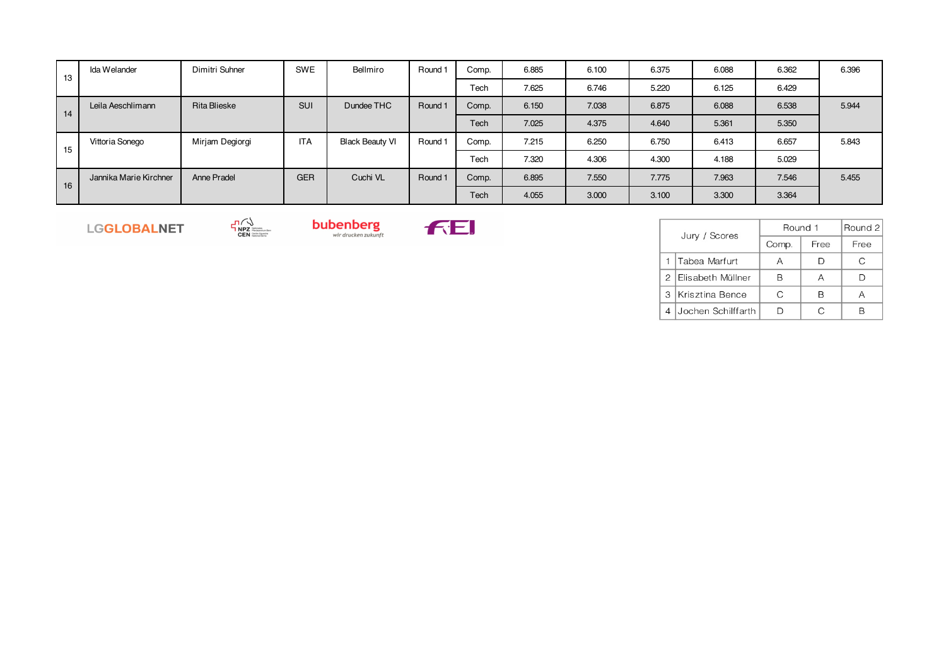| 13 | Ida Welander           | Dimitri Suhner      | SWE        | Bellmiro               | Round 1 | Comp. | 6.885 | 6.100 | 6.375 | 6.088 | 6.362 | 6.396 |
|----|------------------------|---------------------|------------|------------------------|---------|-------|-------|-------|-------|-------|-------|-------|
|    |                        |                     |            |                        |         | Tech  | 7.625 | 6.746 | 5.220 | 6.125 | 6.429 |       |
| 14 | Leila Aeschlimann      | <b>Rita Blieske</b> | <b>SUI</b> | Dundee THC             | Round 1 | Comp. | 6.150 | 7.038 | 6.875 | 6.088 | 6.538 | 5.944 |
|    |                        |                     |            |                        |         | Tech  | 7.025 | 4.375 | 4.640 | 5.361 | 5.350 |       |
| 15 | Vittoria Sonego        | Mirjam Degiorgi     | <b>ITA</b> | <b>Black Beauty VI</b> | Round 1 | Comp. | 7.215 | 6.250 | 6.750 | 6.413 | 6.657 | 5.843 |
|    |                        |                     |            |                        |         | Tech  | 7.320 | 4.306 | 4.300 | 4.188 | 5.029 |       |
| 16 | Jannika Marie Kirchner | Anne Pradel         | GER        | Cuchi VL               | Round 1 | Comp. | 6.895 | 7.550 | 7.775 | 7.963 | 7.546 | 5.455 |
|    |                        |                     |            |                        |         | Tech  | 4.055 | 3.000 | 3.100 | 3.300 | 3.364 |       |

LGGLOBALNET

 $\negthickspace\negthickspace\negthickspace\bigcap_{\text{NPZ}}\bigvee_{\text{non-form} \atop \text{CEN dimension}}$ 



| Jury / Scores |                     | Round 1 | Round 2 |      |
|---------------|---------------------|---------|---------|------|
|               |                     | Comp.   | Free    | Free |
|               | Tabea Marfurt       |         |         | C.   |
|               | 2 Elisabeth Müllner | R       | А       |      |
| З             | Krisztina Bence     | C.      | В       |      |
|               | Jochen Schilffarth  |         | ◠       |      |